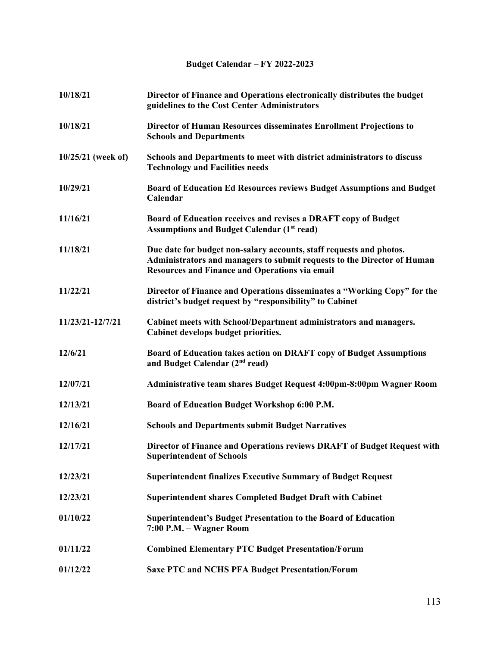## **Budget Calendar – FY 2022-2023**

| 10/18/21             | Director of Finance and Operations electronically distributes the budget<br>guidelines to the Cost Center Administrators                                                                                |
|----------------------|---------------------------------------------------------------------------------------------------------------------------------------------------------------------------------------------------------|
| 10/18/21             | Director of Human Resources disseminates Enrollment Projections to<br><b>Schools and Departments</b>                                                                                                    |
| $10/25/21$ (week of) | Schools and Departments to meet with district administrators to discuss<br><b>Technology and Facilities needs</b>                                                                                       |
| 10/29/21             | Board of Education Ed Resources reviews Budget Assumptions and Budget<br>Calendar                                                                                                                       |
| 11/16/21             | Board of Education receives and revises a DRAFT copy of Budget<br><b>Assumptions and Budget Calendar (1st read)</b>                                                                                     |
| 11/18/21             | Due date for budget non-salary accounts, staff requests and photos.<br>Administrators and managers to submit requests to the Director of Human<br><b>Resources and Finance and Operations via email</b> |
| 11/22/21             | Director of Finance and Operations disseminates a "Working Copy" for the<br>district's budget request by "responsibility" to Cabinet                                                                    |
| 11/23/21-12/7/21     | Cabinet meets with School/Department administrators and managers.<br>Cabinet develops budget priorities.                                                                                                |
| 12/6/21              | Board of Education takes action on DRAFT copy of Budget Assumptions<br>and Budget Calendar (2 <sup>nd</sup> read)                                                                                       |
| 12/07/21             | Administrative team shares Budget Request 4:00pm-8:00pm Wagner Room                                                                                                                                     |
| 12/13/21             | Board of Education Budget Workshop 6:00 P.M.                                                                                                                                                            |
| 12/16/21             | <b>Schools and Departments submit Budget Narratives</b>                                                                                                                                                 |
| 12/17/21             | Director of Finance and Operations reviews DRAFT of Budget Request with<br><b>Superintendent of Schools</b>                                                                                             |
| 12/23/21             | <b>Superintendent finalizes Executive Summary of Budget Request</b>                                                                                                                                     |
| 12/23/21             | <b>Superintendent shares Completed Budget Draft with Cabinet</b>                                                                                                                                        |
| 01/10/22             | <b>Superintendent's Budget Presentation to the Board of Education</b><br>7:00 P.M. - Wagner Room                                                                                                        |
| 01/11/22             | <b>Combined Elementary PTC Budget Presentation/Forum</b>                                                                                                                                                |
| 01/12/22             | <b>Saxe PTC and NCHS PFA Budget Presentation/Forum</b>                                                                                                                                                  |